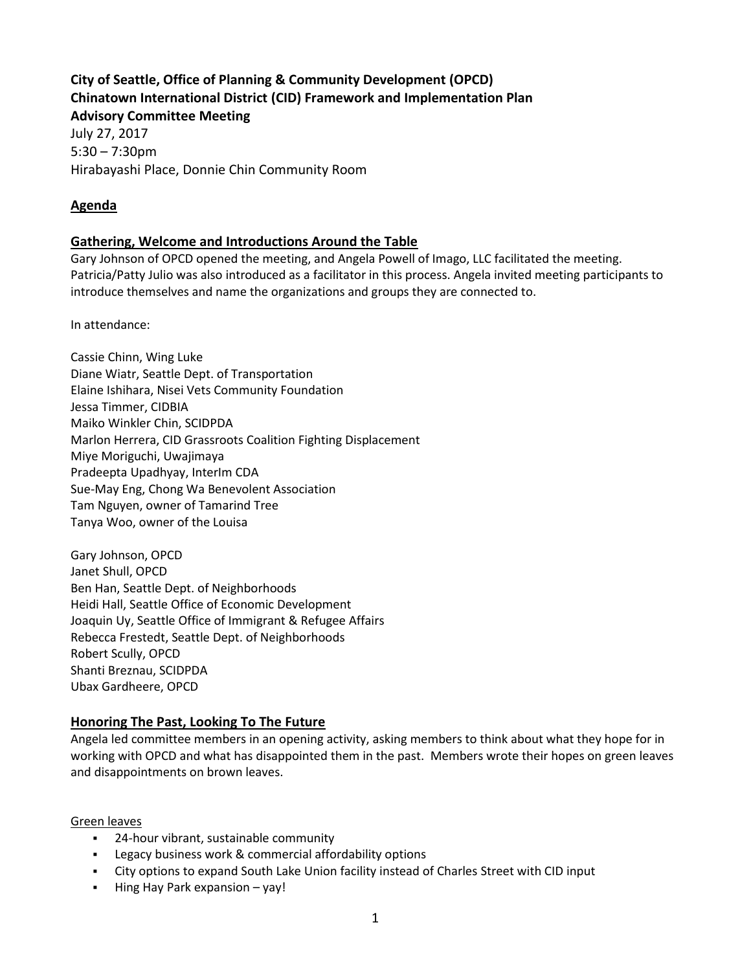## **City of Seattle, Office of Planning & Community Development (OPCD) Chinatown International District (CID) Framework and Implementation Plan Advisory Committee Meeting**

July 27, 2017 5:30 – 7:30pm Hirabayashi Place, Donnie Chin Community Room

# **Agenda**

## **Gathering, Welcome and Introductions Around the Table**

Gary Johnson of OPCD opened the meeting, and Angela Powell of Imago, LLC facilitated the meeting. Patricia/Patty Julio was also introduced as a facilitator in this process. Angela invited meeting participants to introduce themselves and name the organizations and groups they are connected to.

In attendance:

Cassie Chinn, Wing Luke Diane Wiatr, Seattle Dept. of Transportation Elaine Ishihara, Nisei Vets Community Foundation Jessa Timmer, CIDBIA Maiko Winkler Chin, SCIDPDA Marlon Herrera, CID Grassroots Coalition Fighting Displacement Miye Moriguchi, Uwajimaya Pradeepta Upadhyay, InterIm CDA Sue-May Eng, Chong Wa Benevolent Association Tam Nguyen, owner of Tamarind Tree Tanya Woo, owner of the Louisa

Gary Johnson, OPCD Janet Shull, OPCD Ben Han, Seattle Dept. of Neighborhoods Heidi Hall, Seattle Office of Economic Development Joaquin Uy, Seattle Office of Immigrant & Refugee Affairs Rebecca Frestedt, Seattle Dept. of Neighborhoods Robert Scully, OPCD Shanti Breznau, SCIDPDA Ubax Gardheere, OPCD

# **Honoring The Past, Looking To The Future**

Angela led committee members in an opening activity, asking members to think about what they hope for in working with OPCD and what has disappointed them in the past. Members wrote their hopes on green leaves and disappointments on brown leaves.

#### Green leaves

- 24-hour vibrant, sustainable community
- Legacy business work & commercial affordability options
- City options to expand South Lake Union facility instead of Charles Street with CID input
- Hing Hay Park expansion yay!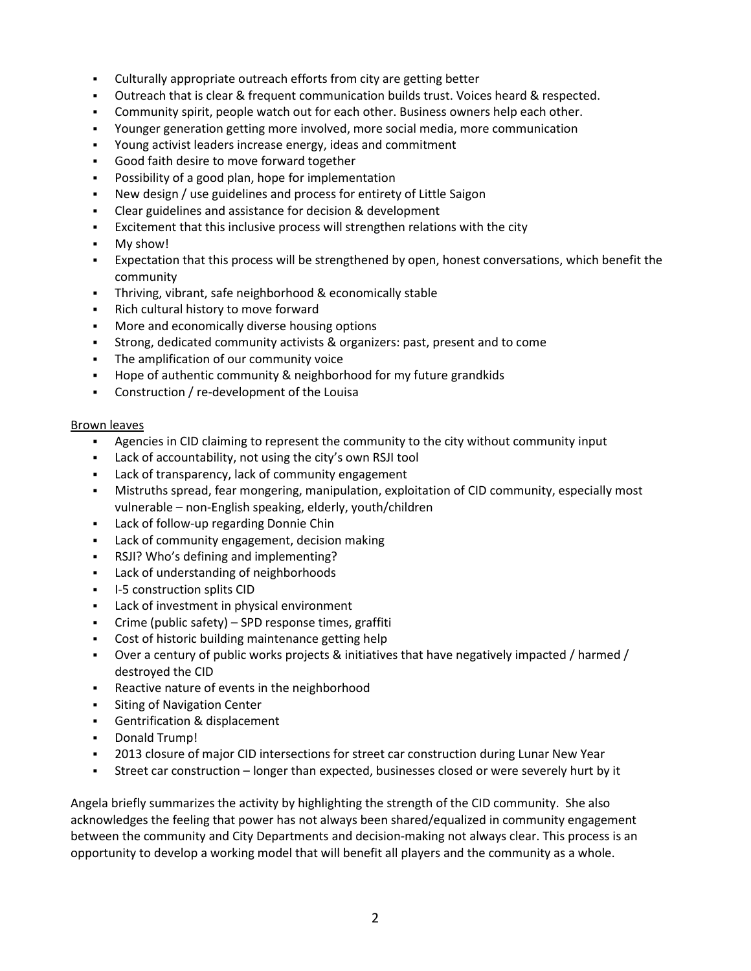- Culturally appropriate outreach efforts from city are getting better
- Outreach that is clear & frequent communication builds trust. Voices heard & respected.
- **Community spirit, people watch out for each other. Business owners help each other.**
- Younger generation getting more involved, more social media, more communication
- Young activist leaders increase energy, ideas and commitment
- Good faith desire to move forward together
- Possibility of a good plan, hope for implementation
- New design / use guidelines and process for entirety of Little Saigon
- Clear guidelines and assistance for decision & development
- **•** Excitement that this inclusive process will strengthen relations with the city
- My show!
- Expectation that this process will be strengthened by open, honest conversations, which benefit the community
- Thriving, vibrant, safe neighborhood & economically stable
- Rich cultural history to move forward
- More and economically diverse housing options
- Strong, dedicated community activists & organizers: past, present and to come
- The amplification of our community voice
- Hope of authentic community & neighborhood for my future grandkids
- Construction / re-development of the Louisa

#### Brown leaves

- Agencies in CID claiming to represent the community to the city without community input
- Lack of accountability, not using the city's own RSJI tool
- Lack of transparency, lack of community engagement
- Mistruths spread, fear mongering, manipulation, exploitation of CID community, especially most vulnerable – non-English speaking, elderly, youth/children
- Lack of follow-up regarding Donnie Chin
- Lack of community engagement, decision making
- RSJI? Who's defining and implementing?
- Lack of understanding of neighborhoods
- **•** I-5 construction splits CID
- Lack of investment in physical environment
- Crime (public safety) SPD response times, graffiti
- Cost of historic building maintenance getting help
- Over a century of public works projects & initiatives that have negatively impacted / harmed / destroyed the CID
- Reactive nature of events in the neighborhood
- **•** Siting of Navigation Center
- Gentrification & displacement
- Donald Trump!
- **2013 closure of major CID intersections for street car construction during Lunar New Year**
- Street car construction longer than expected, businesses closed or were severely hurt by it

Angela briefly summarizes the activity by highlighting the strength of the CID community. She also acknowledges the feeling that power has not always been shared/equalized in community engagement between the community and City Departments and decision-making not always clear. This process is an opportunity to develop a working model that will benefit all players and the community as a whole.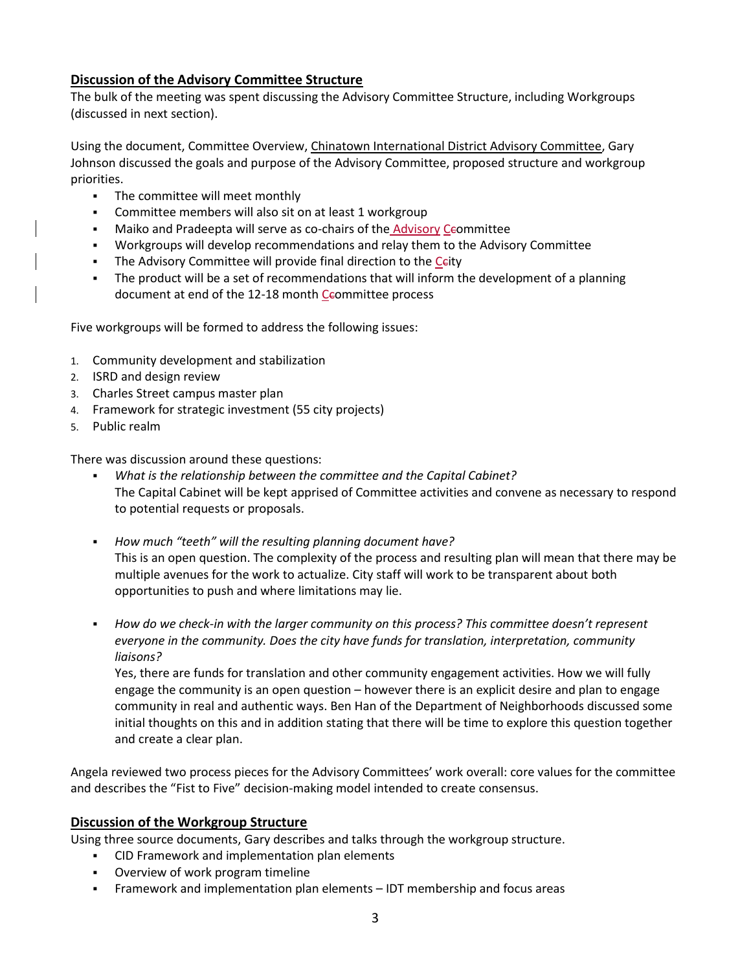## **Discussion of the Advisory Committee Structure**

The bulk of the meeting was spent discussing the Advisory Committee Structure, including Workgroups (discussed in next section).

Using the document, Committee Overview, Chinatown International District Advisory Committee, Gary Johnson discussed the goals and purpose of the Advisory Committee, proposed structure and workgroup priorities.

- The committee will meet monthly
- Committee members will also sit on at least 1 workgroup
- **■** Maiko and Pradeepta will serve as co-chairs of the Advisory Ceommittee
- Workgroups will develop recommendations and relay them to the Advisory Committee
- **EXECT** The Advisory Committee will provide final direction to the Ceity
- The product will be a set of recommendations that will inform the development of a planning document at end of the 12-18 month Ceommittee process

Five workgroups will be formed to address the following issues:

- 1. Community development and stabilization
- 2. ISRD and design review
- 3. Charles Street campus master plan
- 4. Framework for strategic investment (55 city projects)
- 5. Public realm

There was discussion around these questions:

- *What is the relationship between the committee and the Capital Cabinet?* The Capital Cabinet will be kept apprised of Committee activities and convene as necessary to respond to potential requests or proposals.
- *How much "teeth" will the resulting planning document have?* This is an open question. The complexity of the process and resulting plan will mean that there may be multiple avenues for the work to actualize. City staff will work to be transparent about both opportunities to push and where limitations may lie.
- *How do we check-in with the larger community on this process? This committee doesn't represent everyone in the community. Does the city have funds for translation, interpretation, community liaisons?*

Yes, there are funds for translation and other community engagement activities. How we will fully engage the community is an open question – however there is an explicit desire and plan to engage community in real and authentic ways. Ben Han of the Department of Neighborhoods discussed some initial thoughts on this and in addition stating that there will be time to explore this question together and create a clear plan.

Angela reviewed two process pieces for the Advisory Committees' work overall: core values for the committee and describes the "Fist to Five" decision-making model intended to create consensus.

## **Discussion of the Workgroup Structure**

Using three source documents, Gary describes and talks through the workgroup structure.

- CID Framework and implementation plan elements
- Overview of work program timeline
- Framework and implementation plan elements IDT membership and focus areas